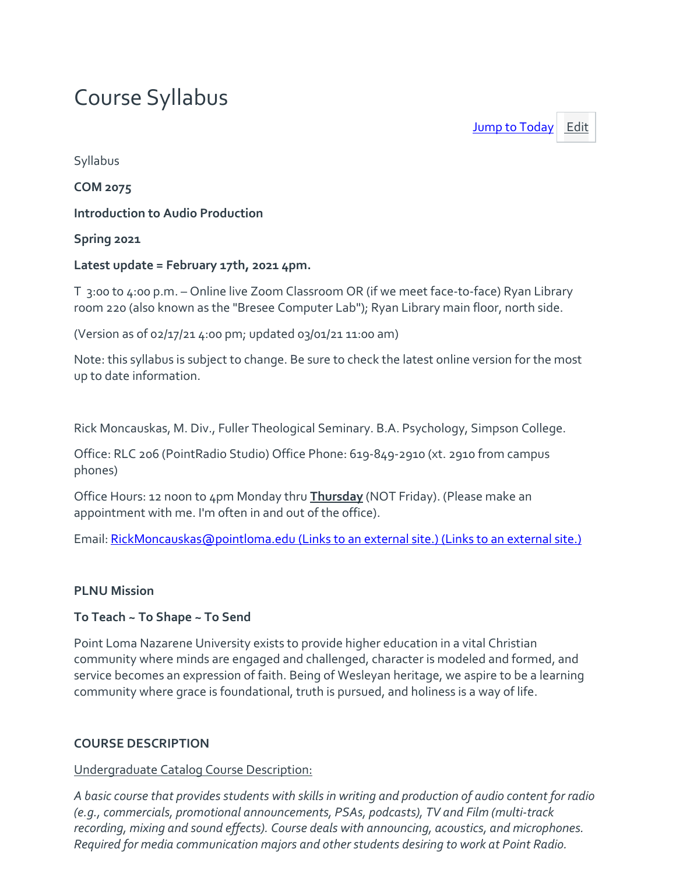# Course Syllabus

[Jump to Today](https://canvas.pointloma.edu/courses/54748/assignments/syllabus) [Edit](https://canvas.pointloma.edu/courses/54748/assignments/syllabus)

Syllabus

**COM 2075**

**Introduction to Audio Production**

**Spring 2021**

#### **Latest update = February 17th, 2021 4pm.**

T 3:00 to 4:00 p.m. – Online live Zoom Classroom OR (if we meet face-to-face) Ryan Library room 220 (also known as the "Bresee Computer Lab"); Ryan Library main floor, north side.

(Version as of 02/17/21 4:00 pm; updated 03/01/21 11:00 am)

Note: this syllabus is subject to change. Be sure to check the latest online version for the most up to date information.

Rick Moncauskas, M. Div., Fuller Theological Seminary. B.A. Psychology, Simpson College.

Office: RLC 206 (PointRadio Studio) Office Phone: 619-849-2910 (xt. 2910 from campus phones)

Office Hours: 12 noon to 4pm Monday thru **Thursday** (NOT Friday). (Please make an appointment with me. I'm often in and out of the office).

Email: [RickMoncauskas@pointloma.edu](https://mail.google.com/mail/?view=cm&fs=1&tf=1&to=RickMoncauskas@pointloma.edu) (Links to an external site.) (Links to an external site.)

## **PLNU Mission**

## **To Teach ~ To Shape ~ To Send**

Point Loma Nazarene University exists to provide higher education in a vital Christian community where minds are engaged and challenged, character is modeled and formed, and service becomes an expression of faith. Being of Wesleyan heritage, we aspire to be a learning community where grace is foundational, truth is pursued, and holiness is a way of life.

# **COURSE DESCRIPTION**

## Undergraduate Catalog Course Description:

*A basic course that provides students with skills in writing and production of audio content for radio (e.g., commercials, promotional announcements, PSAs, podcasts), TV and Film (multi-track recording, mixing and sound effects). Course deals with announcing, acoustics, and microphones. Required for media communication majors and other students desiring to work at Point Radio.*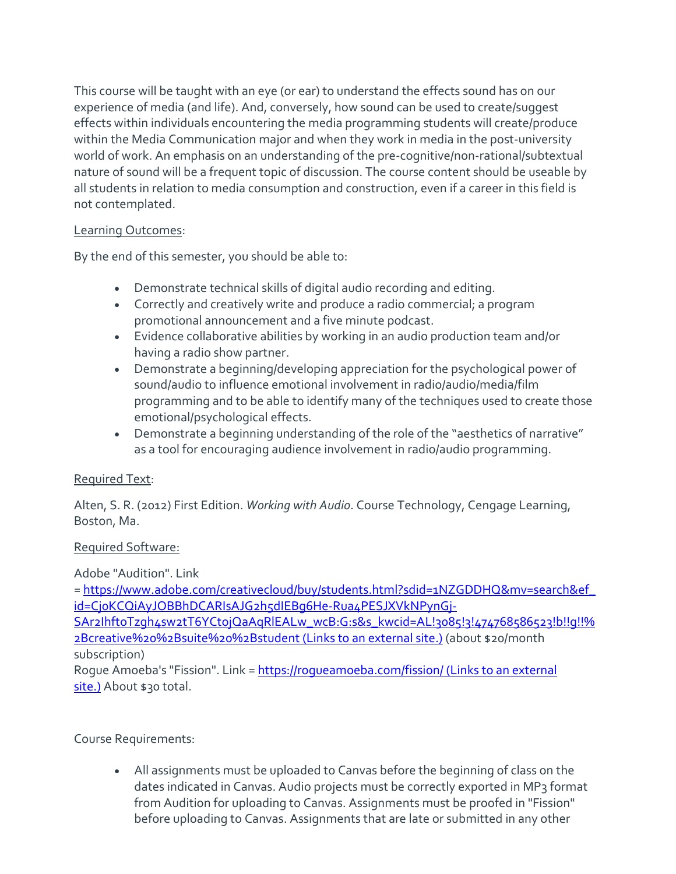This course will be taught with an eye (or ear) to understand the effects sound has on our experience of media (and life). And, conversely, how sound can be used to create/suggest effects within individuals encountering the media programming students will create/produce within the Media Communication major and when they work in media in the post-university world of work. An emphasis on an understanding of the pre-cognitive/non-rational/subtextual nature of sound will be a frequent topic of discussion. The course content should be useable by all students in relation to media consumption and construction, even if a career in this field is not contemplated.

## Learning Outcomes:

By the end of this semester, you should be able to:

- Demonstrate technical skills of digital audio recording and editing.
- Correctly and creatively write and produce a radio commercial; a program promotional announcement and a five minute podcast.
- Evidence collaborative abilities by working in an audio production team and/or having a radio show partner.
- Demonstrate a beginning/developing appreciation for the psychological power of sound/audio to influence emotional involvement in radio/audio/media/film programming and to be able to identify many of the techniques used to create those emotional/psychological effects.
- Demonstrate a beginning understanding of the role of the "aesthetics of narrative" as a tool for encouraging audience involvement in radio/audio programming.

# Required Text:

Alten, S. R. (2012) First Edition. *Working with Audio*. Course Technology, Cengage Learning, Boston, Ma.

## Required Software:

Adobe "Audition". Link

= [https://www.adobe.com/creativecloud/buy/students.html?sdid=1NZGDDHQ&mv=search&ef\\_](https://www.adobe.com/creativecloud/buy/students.html?sdid=1NZGDDHQ&mv=search&ef_id=Cj0KCQiAyJOBBhDCARIsAJG2h5dIEBg6He-Rua4PESJXVkNPynGj-SAr2IhftoTzgh4sw2tT6YCtojQaAqRlEALw_wcB:G:s&s_kwcid=AL!3085!3!474768586523!b!!g!!%2Bcreative%20%2Bsuite%20%2Bstudent) [id=Cj0KCQiAyJOBBhDCARIsAJG2h5dIEBg6He-Rua4PESJXVkNPynGj-](https://www.adobe.com/creativecloud/buy/students.html?sdid=1NZGDDHQ&mv=search&ef_id=Cj0KCQiAyJOBBhDCARIsAJG2h5dIEBg6He-Rua4PESJXVkNPynGj-SAr2IhftoTzgh4sw2tT6YCtojQaAqRlEALw_wcB:G:s&s_kwcid=AL!3085!3!474768586523!b!!g!!%2Bcreative%20%2Bsuite%20%2Bstudent)

[SAr2IhftoTzgh4sw2tT6YCtojQaAqRlEALw\\_wcB:G:s&s\\_kwcid=AL!3085!3!474768586523!b!!g!!%](https://www.adobe.com/creativecloud/buy/students.html?sdid=1NZGDDHQ&mv=search&ef_id=Cj0KCQiAyJOBBhDCARIsAJG2h5dIEBg6He-Rua4PESJXVkNPynGj-SAr2IhftoTzgh4sw2tT6YCtojQaAqRlEALw_wcB:G:s&s_kwcid=AL!3085!3!474768586523!b!!g!!%2Bcreative%20%2Bsuite%20%2Bstudent) [2Bcreative%20%2Bsuite%20%2Bstudent](https://www.adobe.com/creativecloud/buy/students.html?sdid=1NZGDDHQ&mv=search&ef_id=Cj0KCQiAyJOBBhDCARIsAJG2h5dIEBg6He-Rua4PESJXVkNPynGj-SAr2IhftoTzgh4sw2tT6YCtojQaAqRlEALw_wcB:G:s&s_kwcid=AL!3085!3!474768586523!b!!g!!%2Bcreative%20%2Bsuite%20%2Bstudent) (Links to an external site.) (about \$20/month subscription)

Rogue Amoeba's "Fission". Link = <https://rogueamoeba.com/fission/> (Links to an external [site.\)](https://rogueamoeba.com/fission/) About \$30 total.

# Course Requirements:

• All assignments must be uploaded to Canvas before the beginning of class on the dates indicated in Canvas. Audio projects must be correctly exported in MP3 format from Audition for uploading to Canvas. Assignments must be proofed in "Fission" before uploading to Canvas. Assignments that are late or submitted in any other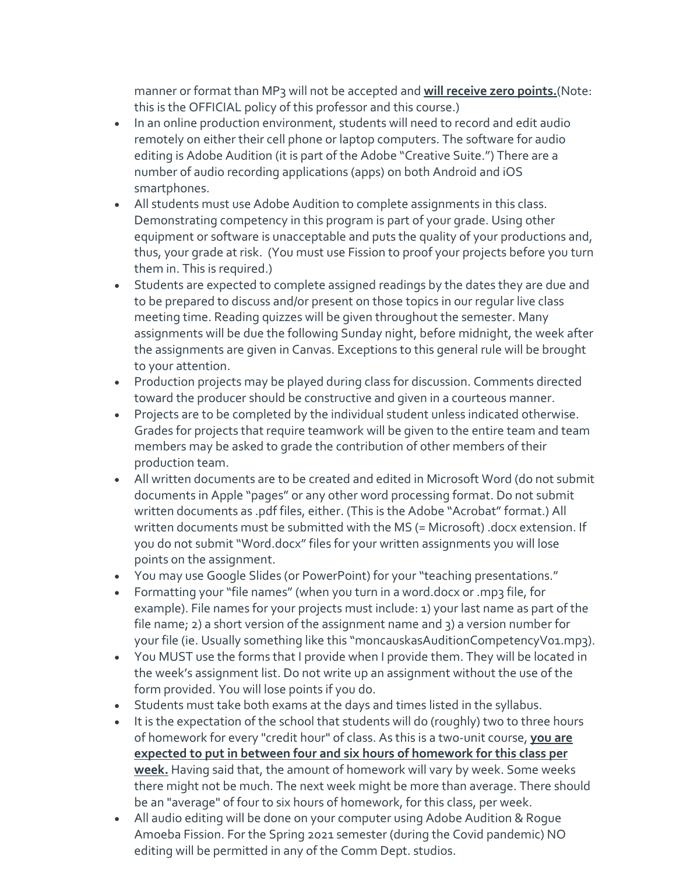manner or format than MP3 will not be accepted and **will receive zero points.**(Note: this is the OFFICIAL policy of this professor and this course.)

- In an online production environment, students will need to record and edit audio remotely on either their cell phone or laptop computers. The software for audio editing is Adobe Audition (it is part of the Adobe "Creative Suite.") There are a number of audio recording applications (apps) on both Android and iOS smartphones.
- All students must use Adobe Audition to complete assignments in this class. Demonstrating competency in this program is part of your grade. Using other equipment or software is unacceptable and puts the quality of your productions and, thus, your grade at risk. (You must use Fission to proof your projects before you turn them in. This is required.)
- Students are expected to complete assigned readings by the dates they are due and to be prepared to discuss and/or present on those topics in our regular live class meeting time. Reading quizzes will be given throughout the semester. Many assignments will be due the following Sunday night, before midnight, the week after the assignments are given in Canvas. Exceptions to this general rule will be brought to your attention.
- Production projects may be played during class for discussion. Comments directed toward the producer should be constructive and given in a courteous manner.
- Projects are to be completed by the individual student unless indicated otherwise. Grades for projects that require teamwork will be given to the entire team and team members may be asked to grade the contribution of other members of their production team.
- All written documents are to be created and edited in Microsoft Word (do not submit documents in Apple "pages" or any other word processing format. Do not submit written documents as .pdf files, either. (This is the Adobe "Acrobat" format.) All written documents must be submitted with the MS (= Microsoft) .docx extension. If you do not submit "Word.docx" files for your written assignments you will lose points on the assignment.
- You may use Google Slides (or PowerPoint) for your "teaching presentations."
- Formatting your "file names" (when you turn in a word.docx or .mp3 file, for example). File names for your projects must include: 1) your last name as part of the file name; 2) a short version of the assignment name and 3) a version number for your file (ie. Usually something like this "moncauskasAuditionCompetencyV01.mp3).
- You MUST use the forms that I provide when I provide them. They will be located in the week's assignment list. Do not write up an assignment without the use of the form provided. You will lose points if you do.
- Students must take both exams at the days and times listed in the syllabus.
- It is the expectation of the school that students will do (roughly) two to three hours of homework for every "credit hour" of class. As this is a two-unit course, **you are expected to put in between four and six hours of homework for this class per week.** Having said that, the amount of homework will vary by week. Some weeks there might not be much. The next week might be more than average. There should be an "average" of four to six hours of homework, for this class, per week.
- All audio editing will be done on your computer using Adobe Audition & Rogue Amoeba Fission. For the Spring 2021 semester (during the Covid pandemic) NO editing will be permitted in any of the Comm Dept. studios.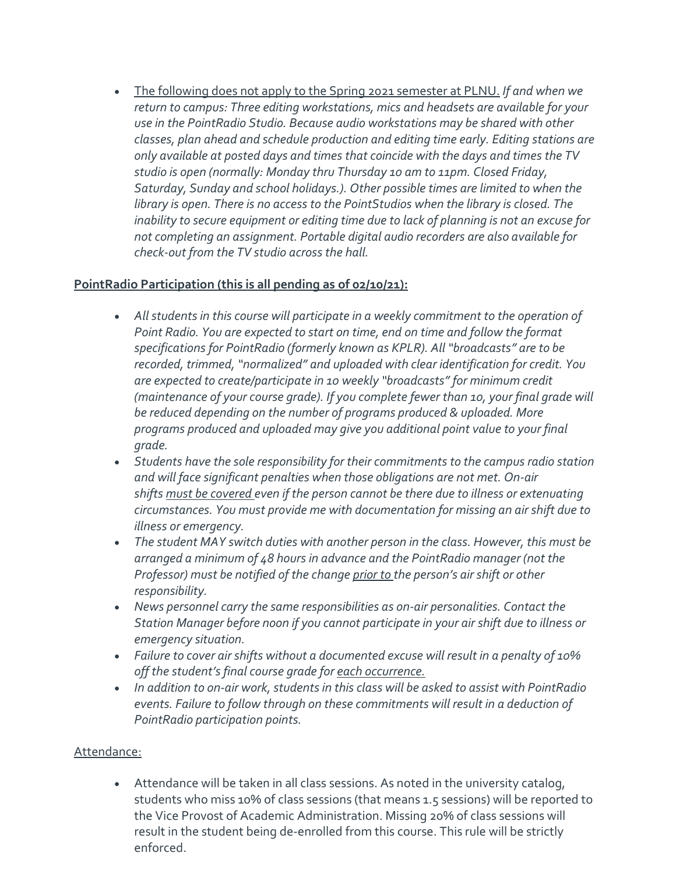• The following does not apply to the Spring 2021 semester at PLNU. *If and when we return to campus: Three editing workstations, mics and headsets are available for your use in the PointRadio Studio. Because audio workstations may be shared with other classes, plan ahead and schedule production and editing time early. Editing stations are only available at posted days and times that coincide with the days and times the TV studio is open (normally: Monday thru Thursday 10 am to 11pm. Closed Friday, Saturday, Sunday and school holidays.). Other possible times are limited to when the library is open. There is no access to the PointStudios when the library is closed. The inability to secure equipment or editing time due to lack of planning is not an excuse for not completing an assignment. Portable digital audio recorders are also available for check-out from the TV studio across the hall.*

# **PointRadio Participation (this is all pending as of 02/10/21):**

- *All students in this course will participate in a weekly commitment to the operation of Point Radio. You are expected to start on time, end on time and follow the format specifications for PointRadio (formerly known as KPLR). All "broadcasts" are to be recorded, trimmed, "normalized" and uploaded with clear identification for credit. You are expected to create/participate in 10 weekly "broadcasts" for minimum credit (maintenance of your course grade). If you complete fewer than 10, your final grade will be reduced depending on the number of programs produced & uploaded. More programs produced and uploaded may give you additional point value to your final grade.*
- *Students have the sole responsibility for their commitments to the campus radio station and will face significant penalties when those obligations are not met. On-air shifts must be covered even if the person cannot be there due to illness or extenuating circumstances. You must provide me with documentation for missing an air shift due to illness or emergency.*
- *The student MAY switch duties with another person in the class. However, this must be arranged a minimum of 48 hours in advance and the PointRadio manager (not the Professor) must be notified of the change prior to the person's air shift or other responsibility.*
- *News personnel carry the same responsibilities as on-air personalities. Contact the Station Manager before noon if you cannot participate in your air shift due to illness or emergency situation.*
- *Failure to cover air shifts without a documented excuse will result in a penalty of 10% off the student's final course grade for each occurrence.*
- *In addition to on-air work, students in this class will be asked to assist with PointRadio events. Failure to follow through on these commitments will result in a deduction of PointRadio participation points.*

# Attendance:

• Attendance will be taken in all class sessions. As noted in the university catalog, students who miss 10% of class sessions (that means 1.5 sessions) will be reported to the Vice Provost of Academic Administration. Missing 20% of class sessions will result in the student being de-enrolled from this course. This rule will be strictly enforced.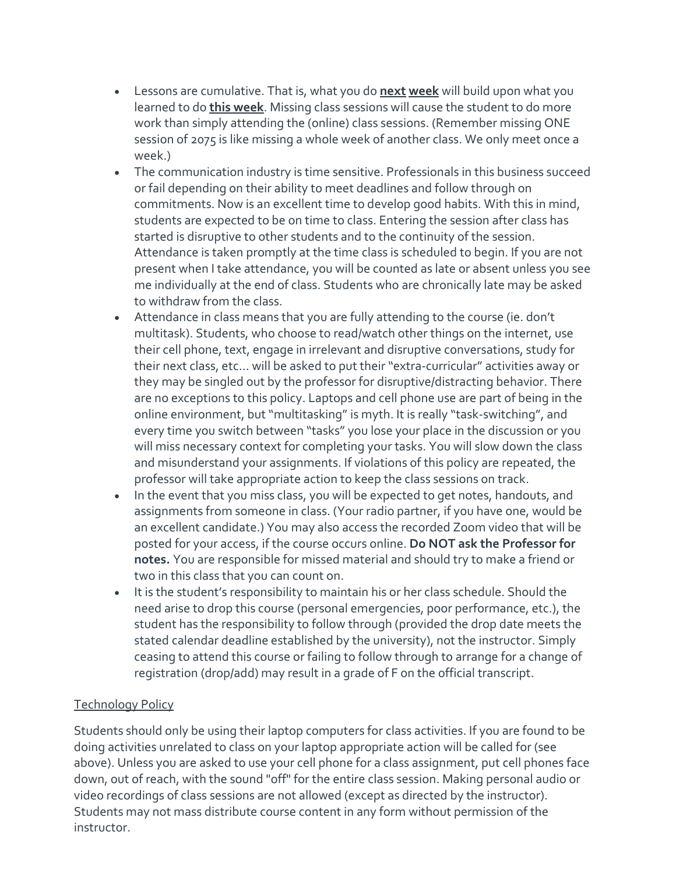- Lessons are cumulative. That is, what you do **next week** will build upon what you learned to do **this week**. Missing class sessions will cause the student to do more work than simply attending the (online) class sessions. (Remember missing ONE session of 2075 is like missing a whole week of another class. We only meet once a week.)
- The communication industry is time sensitive. Professionals in this business succeed or fail depending on their ability to meet deadlines and follow through on commitments. Now is an excellent time to develop good habits. With this in mind, students are expected to be on time to class. Entering the session after class has started is disruptive to other students and to the continuity of the session. Attendance is taken promptly at the time class is scheduled to begin. If you are not present when I take attendance, you will be counted as late or absent unless you see me individually at the end of class. Students who are chronically late may be asked to withdraw from the class.
- Attendance in class means that you are fully attending to the course (ie. don't multitask). Students, who choose to read/watch other things on the internet, use their cell phone, text, engage in irrelevant and disruptive conversations, study for their next class, etc… will be asked to put their "extra-curricular" activities away or they may be singled out by the professor for disruptive/distracting behavior. There are no exceptions to this policy. Laptops and cell phone use are part of being in the online environment, but "multitasking" is myth. It is really "task-switching", and every time you switch between "tasks" you lose your place in the discussion or you will miss necessary context for completing your tasks. You will slow down the class and misunderstand your assignments. If violations of this policy are repeated, the professor will take appropriate action to keep the class sessions on track.
- In the event that you miss class, you will be expected to get notes, handouts, and assignments from someone in class. (Your radio partner, if you have one, would be an excellent candidate.) You may also access the recorded Zoom video that will be posted for your access, if the course occurs online. **Do NOT ask the Professor for notes.** You are responsible for missed material and should try to make a friend or two in this class that you can count on.
- It is the student's responsibility to maintain his or her class schedule. Should the need arise to drop this course (personal emergencies, poor performance, etc.), the student has the responsibility to follow through (provided the drop date meets the stated calendar deadline established by the university), not the instructor. Simply ceasing to attend this course or failing to follow through to arrange for a change of registration (drop/add) may result in a grade of F on the official transcript.

# Technology Policy

Students should only be using their laptop computers for class activities. If you are found to be doing activities unrelated to class on your laptop appropriate action will be called for (see above). Unless you are asked to use your cell phone for a class assignment, put cell phones face down, out of reach, with the sound "off" for the entire class session. Making personal audio or video recordings of class sessions are not allowed (except as directed by the instructor). Students may not mass distribute course content in any form without permission of the instructor.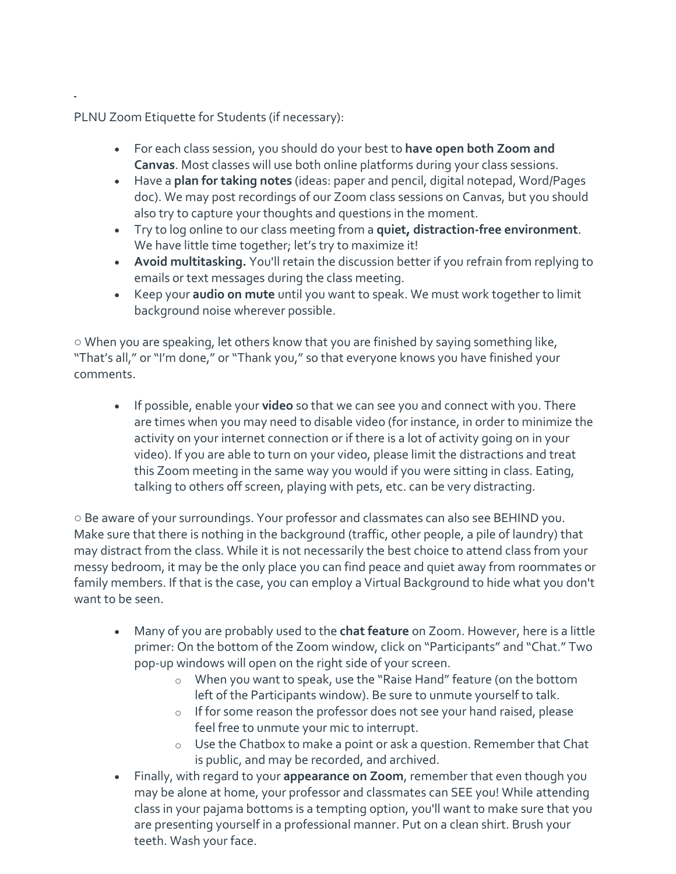PLNU Zoom Etiquette for Students (if necessary):

- For each class session, you should do your best to **have open both Zoom and Canvas**. Most classes will use both online platforms during your class sessions.
- Have a **plan for taking notes** (ideas: paper and pencil, digital notepad, Word/Pages doc). We may post recordings of our Zoom class sessions on Canvas, but you should also try to capture your thoughts and questions in the moment.
- Try to log online to our class meeting from a **quiet, distraction-free environment**. We have little time together; let's try to maximize it!
- **Avoid multitasking.** You'll retain the discussion better if you refrain from replying to emails or text messages during the class meeting.
- Keep your **audio on mute** until you want to speak. We must work together to limit background noise wherever possible.

○ When you are speaking, let others know that you are finished by saying something like, "That's all," or "I'm done," or "Thank you," so that everyone knows you have finished your comments.

• If possible, enable your **video** so that we can see you and connect with you. There are times when you may need to disable video (for instance, in order to minimize the activity on your internet connection or if there is a lot of activity going on in your video). If you are able to turn on your video, please limit the distractions and treat this Zoom meeting in the same way you would if you were sitting in class. Eating, talking to others off screen, playing with pets, etc. can be very distracting.

○ Be aware of your surroundings. Your professor and classmates can also see BEHIND you. Make sure that there is nothing in the background (traffic, other people, a pile of laundry) that may distract from the class. While it is not necessarily the best choice to attend class from your messy bedroom, it may be the only place you can find peace and quiet away from roommates or family members. If that is the case, you can employ a Virtual Background to hide what you don't want to be seen.

- Many of you are probably used to the **chat feature** on Zoom. However, here is a little primer: On the bottom of the Zoom window, click on "Participants" and "Chat." Two pop-up windows will open on the right side of your screen.
	- o When you want to speak, use the "Raise Hand" feature (on the bottom left of the Participants window). Be sure to unmute yourself to talk.
	- o If for some reason the professor does not see your hand raised, please feel free to unmute your mic to interrupt.
	- o Use the Chatbox to make a point or ask a question. Remember that Chat is public, and may be recorded, and archived.
- Finally, with regard to your **appearance on Zoom**, remember that even though you may be alone at home, your professor and classmates can SEE you! While attending class in your pajama bottoms is a tempting option, you'll want to make sure that you are presenting yourself in a professional manner. Put on a clean shirt. Brush your teeth. Wash your face.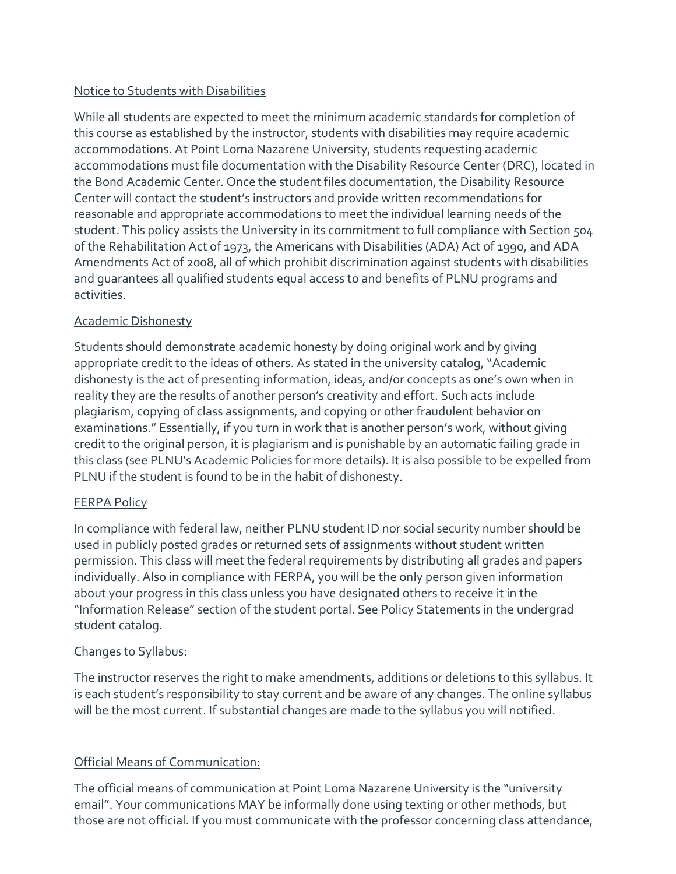## Notice to Students with Disabilities

While all students are expected to meet the minimum academic standards for completion of this course as established by the instructor, students with disabilities may require academic accommodations. At Point Loma Nazarene University, students requesting academic accommodations must file documentation with the Disability Resource Center (DRC), located in the Bond Academic Center. Once the student files documentation, the Disability Resource Center will contact the student's instructors and provide written recommendations for reasonable and appropriate accommodations to meet the individual learning needs of the student. This policy assists the University in its commitment to full compliance with Section 504 of the Rehabilitation Act of 1973, the Americans with Disabilities (ADA) Act of 1990, and ADA Amendments Act of 2008, all of which prohibit discrimination against students with disabilities and guarantees all qualified students equal access to and benefits of PLNU programs and activities.

# Academic Dishonesty

Students should demonstrate academic honesty by doing original work and by giving appropriate credit to the ideas of others. As stated in the university catalog, "Academic dishonesty is the act of presenting information, ideas, and/or concepts as one's own when in reality they are the results of another person's creativity and effort. Such acts include plagiarism, copying of class assignments, and copying or other fraudulent behavior on examinations." Essentially, if you turn in work that is another person's work, without giving credit to the original person, it is plagiarism and is punishable by an automatic failing grade in this class (see PLNU's Academic Policies for more details). It is also possible to be expelled from PLNU if the student is found to be in the habit of dishonesty.

## FERPA Policy

In compliance with federal law, neither PLNU student ID nor social security number should be used in publicly posted grades or returned sets of assignments without student written permission. This class will meet the federal requirements by distributing all grades and papers individually. Also in compliance with FERPA, you will be the only person given information about your progress in this class unless you have designated others to receive it in the "Information Release" section of the student portal. See Policy Statements in the undergrad student catalog.

## Changes to Syllabus:

The instructor reserves the right to make amendments, additions or deletions to this syllabus. It is each student's responsibility to stay current and be aware of any changes. The online syllabus will be the most current. If substantial changes are made to the syllabus you will notified.

# Official Means of Communication:

The official means of communication at Point Loma Nazarene University is the "university email". Your communications MAY be informally done using texting or other methods, but those are not official. If you must communicate with the professor concerning class attendance,